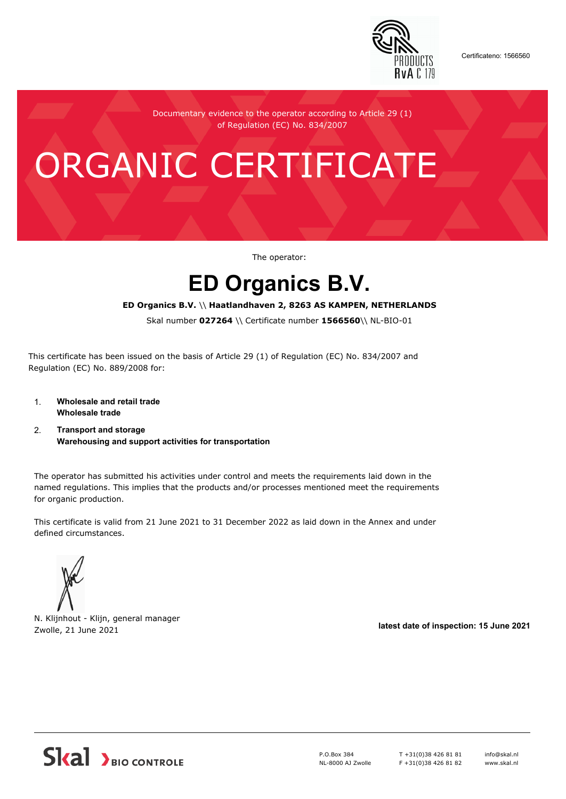

Certificateno: 1566560

Documentary evidence to the operator according to Article 29 (1) of Regulation (EC) No. 834/2007

# ORGANIC CERTIFICATE

The operator:

## **ED Organics B.V.**

#### **ED Organics B.V.** \\ **Haatlandhaven 2, 8263 AS KAMPEN, NETHERLANDS**

Skal number **027264** \\ Certificate number **1566560**\\ NL-BIO-01

This certificate has been issued on the basis of Article 29 (1) of Regulation (EC) No. 834/2007 and Regulation (EC) No. 889/2008 for:

- 1. **Wholesale and retail trade Wholesale trade**
- 2. **Transport and storage Warehousing and support activities for transportation**

The operator has submitted his activities under control and meets the requirements laid down in the named regulations. This implies that the products and/or processes mentioned meet the requirements for organic production.

This certificate is valid from 21 June 2021 to 31 December 2022 as laid down in the Annex and under defined circumstances.

N. Klijnhout - Klijn, general manager Zwolle, 21 June 2021 **latest date of inspection: 15 June 2021**



P.O.Box 384 NL-8000 AJ Zwolle T +31(0)38 426 81 81 F +31(0)38 426 81 82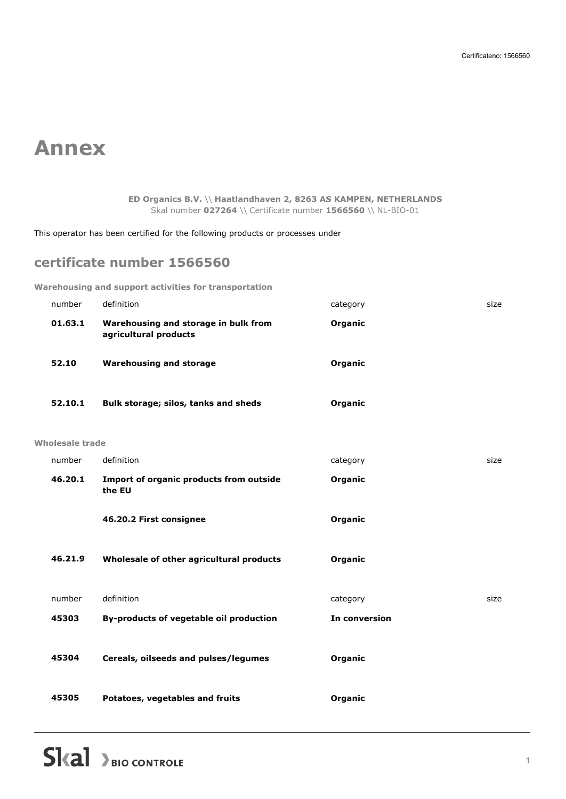## **Annex**

**ED Organics B.V.** \\ **Haatlandhaven 2, 8263 AS KAMPEN, NETHERLANDS** Skal number **027264** \\ Certificate number **1566560** \\ NL-BIO-01

This operator has been certified for the following products or processes under

### **certificate number 1566560**

**Warehousing and support activities for transportation**

| number          | definition                                                    | category      | size |
|-----------------|---------------------------------------------------------------|---------------|------|
| 01.63.1         | Warehousing and storage in bulk from<br>agricultural products | Organic       |      |
| 52.10           | <b>Warehousing and storage</b>                                | Organic       |      |
| 52.10.1         | Bulk storage; silos, tanks and sheds                          | Organic       |      |
| Wholesale trade |                                                               |               |      |
| number          | definition                                                    | category      | size |
| 46.20.1         | Import of organic products from outside<br>the EU             | Organic       |      |
|                 | 46.20.2 First consignee                                       | Organic       |      |
| 46.21.9         | Wholesale of other agricultural products                      | Organic       |      |
| number          | definition                                                    | category      | size |
| 45303           | By-products of vegetable oil production                       | In conversion |      |
| 45304           | Cereals, oilseeds and pulses/legumes                          | Organic       |      |
| 45305           | Potatoes, vegetables and fruits                               | Organic       |      |